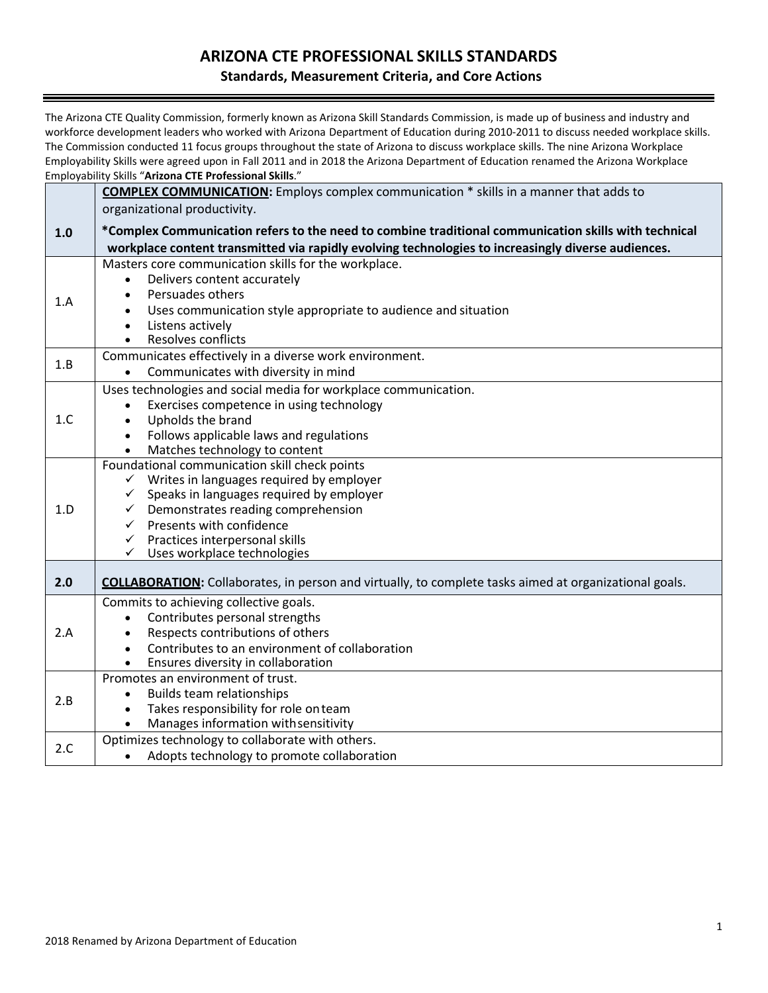### **ARIZONA CTE PROFESSIONAL SKILLS STANDARDS**

#### **Standards, Measurement Criteria, and Core Actions**

The Arizona CTE Quality Commission, formerly known as Arizona Skill Standards Commission, is made up of business and industry and workforce development leaders who worked with Arizona Department of Education during 2010-2011 to discuss needed workplace skills. The Commission conducted 11 focus groups throughout the state of Arizona to discuss workplace skills. The nine Arizona Workplace Employability Skills were agreed upon in Fall 2011 and in 2018 the Arizona Department of Education renamed the Arizona Workplace Employability Skills "**Arizona CTE Professional Skills**."

|     | ETHPIOVADIIILY SKIIIS – ATTZOITA CTE-PTOTESSIOHAI SKIIIS.                                                                                                                                                                                                                                                                                          |
|-----|----------------------------------------------------------------------------------------------------------------------------------------------------------------------------------------------------------------------------------------------------------------------------------------------------------------------------------------------------|
|     | <b>COMPLEX COMMUNICATION:</b> Employs complex communication * skills in a manner that adds to<br>organizational productivity.                                                                                                                                                                                                                      |
| 1.0 | *Complex Communication refers to the need to combine traditional communication skills with technical<br>workplace content transmitted via rapidly evolving technologies to increasingly diverse audiences.                                                                                                                                         |
| 1.A | Masters core communication skills for the workplace.<br>Delivers content accurately<br>Persuades others<br>$\bullet$<br>Uses communication style appropriate to audience and situation<br>Listens actively<br>$\bullet$<br>Resolves conflicts<br>$\bullet$                                                                                         |
| 1.B | Communicates effectively in a diverse work environment.<br>Communicates with diversity in mind                                                                                                                                                                                                                                                     |
| 1.C | Uses technologies and social media for workplace communication.<br>Exercises competence in using technology<br>Upholds the brand<br>$\bullet$<br>Follows applicable laws and regulations<br>$\bullet$<br>Matches technology to content                                                                                                             |
| 1.D | Foundational communication skill check points<br>$\checkmark$ Writes in languages required by employer<br>Speaks in languages required by employer<br>$\checkmark$<br>Demonstrates reading comprehension<br>$\checkmark$<br>Presents with confidence<br>$\checkmark$<br>$\checkmark$ Practices interpersonal skills<br>Uses workplace technologies |
| 2.0 | <b>COLLABORATION:</b> Collaborates, in person and virtually, to complete tasks aimed at organizational goals.                                                                                                                                                                                                                                      |
| 2.A | Commits to achieving collective goals.<br>Contributes personal strengths<br>$\bullet$<br>Respects contributions of others<br>$\bullet$<br>Contributes to an environment of collaboration<br>$\bullet$<br>Ensures diversity in collaboration                                                                                                        |
| 2.B | Promotes an environment of trust.<br><b>Builds team relationships</b><br>$\bullet$<br>Takes responsibility for role on team<br>$\bullet$<br>Manages information with sensitivity                                                                                                                                                                   |
| 2.C | Optimizes technology to collaborate with others.<br>Adopts technology to promote collaboration<br>$\bullet$                                                                                                                                                                                                                                        |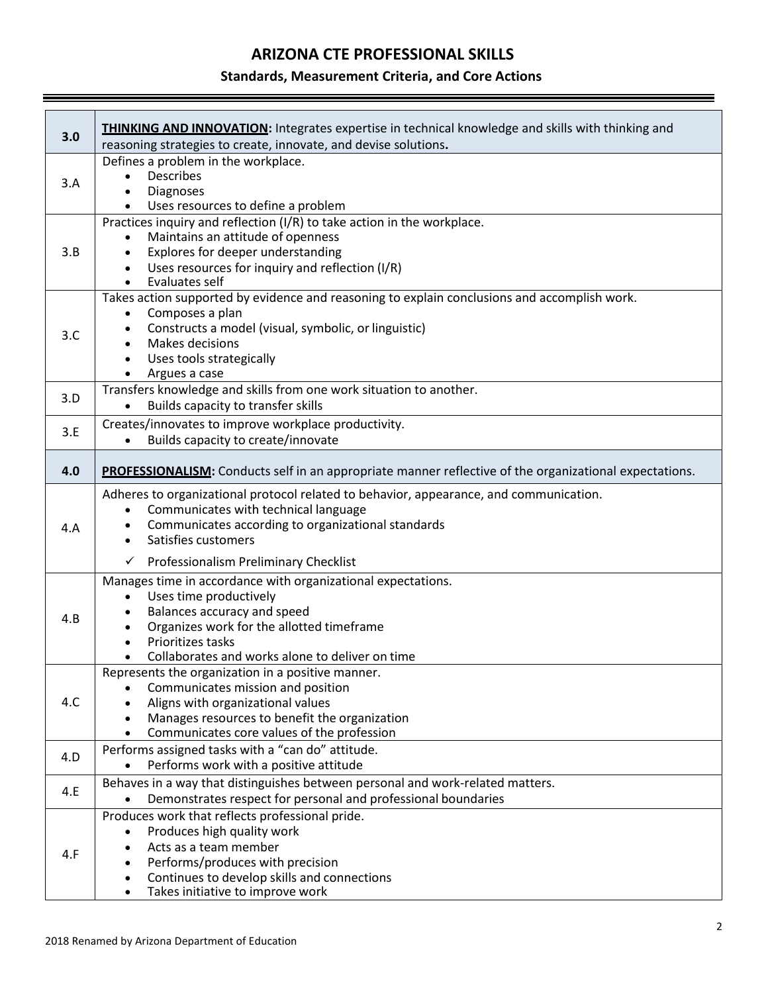# **ARIZONA CTE PROFESSIONAL SKILLS**

#### **Standards, Measurement Criteria, and Core Actions**

| 3.0 | <b>THINKING AND INNOVATION:</b> Integrates expertise in technical knowledge and skills with thinking and<br>reasoning strategies to create, innovate, and devise solutions.                                                                                                                                      |
|-----|------------------------------------------------------------------------------------------------------------------------------------------------------------------------------------------------------------------------------------------------------------------------------------------------------------------|
| 3.A | Defines a problem in the workplace.<br><b>Describes</b><br>Diagnoses<br>Uses resources to define a problem                                                                                                                                                                                                       |
| 3.B | Practices inquiry and reflection (I/R) to take action in the workplace.<br>Maintains an attitude of openness<br>Explores for deeper understanding<br>$\bullet$<br>Uses resources for inquiry and reflection (I/R)<br>$\bullet$<br>Evaluates self                                                                 |
| 3.C | Takes action supported by evidence and reasoning to explain conclusions and accomplish work.<br>Composes a plan<br>$\bullet$<br>Constructs a model (visual, symbolic, or linguistic)<br>$\bullet$<br>Makes decisions<br>$\bullet$<br>Uses tools strategically<br>$\bullet$<br>Argues a case                      |
| 3.D | Transfers knowledge and skills from one work situation to another.<br>Builds capacity to transfer skills                                                                                                                                                                                                         |
| 3.E | Creates/innovates to improve workplace productivity.<br>Builds capacity to create/innovate<br>$\bullet$                                                                                                                                                                                                          |
| 4.0 | PROFESSIONALISM: Conducts self in an appropriate manner reflective of the organizational expectations.                                                                                                                                                                                                           |
| 4.A | Adheres to organizational protocol related to behavior, appearance, and communication.<br>Communicates with technical language<br>$\bullet$<br>Communicates according to organizational standards<br>$\bullet$<br>Satisfies customers<br>$\bullet$                                                               |
| 4.B | Professionalism Preliminary Checklist<br>$\checkmark$<br>Manages time in accordance with organizational expectations.<br>Uses time productively<br>$\bullet$<br>Balances accuracy and speed<br>Organizes work for the allotted timeframe<br>Prioritizes tasks<br>Collaborates and works alone to deliver on time |
| 4.C | Represents the organization in a positive manner.<br>Communicates mission and position<br>Aligns with organizational values<br>Manages resources to benefit the organization<br>$\bullet$<br>Communicates core values of the profession<br>$\bullet$                                                             |
| 4.D | Performs assigned tasks with a "can do" attitude.<br>Performs work with a positive attitude<br>$\bullet$                                                                                                                                                                                                         |
| 4.E | Behaves in a way that distinguishes between personal and work-related matters.<br>Demonstrates respect for personal and professional boundaries                                                                                                                                                                  |
| 4.F | Produces work that reflects professional pride.<br>Produces high quality work<br>$\bullet$<br>Acts as a team member<br>$\bullet$<br>Performs/produces with precision<br>$\bullet$<br>Continues to develop skills and connections<br>$\bullet$<br>Takes initiative to improve work<br>$\bullet$                   |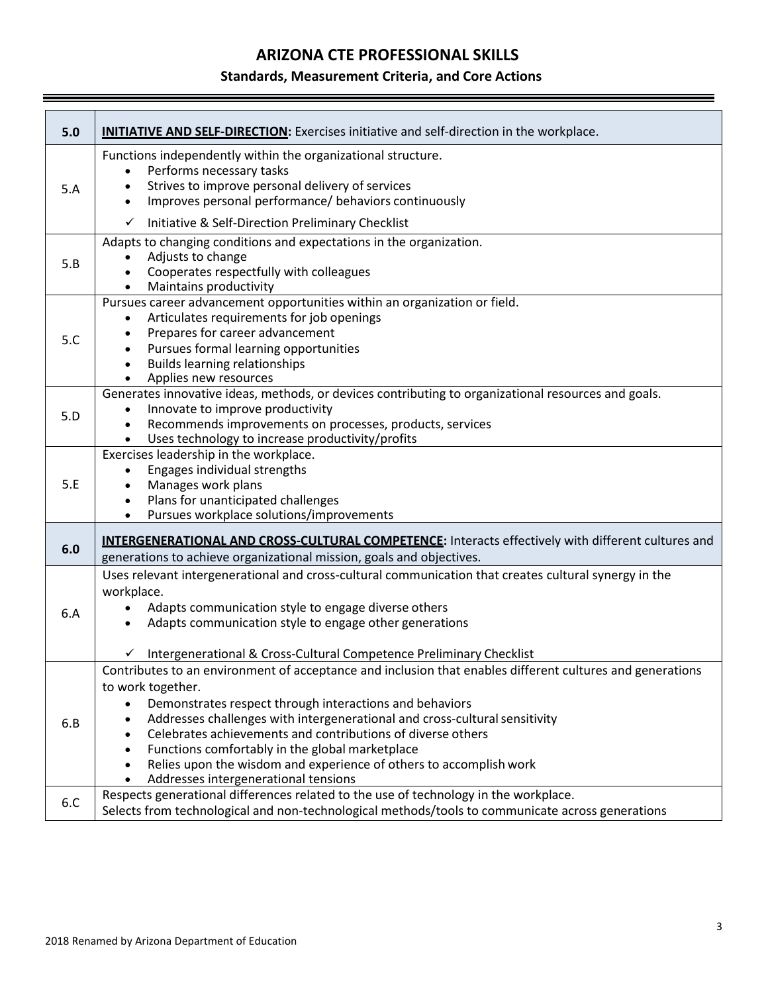# **ARIZONA CTE PROFESSIONAL SKILLS**

### **Standards, Measurement Criteria, and Core Actions**

| 5.0 | <b>INITIATIVE AND SELF-DIRECTION:</b> Exercises initiative and self-direction in the workplace.                                                                                                                                                                                                                                                                                                                                                                                                                                   |
|-----|-----------------------------------------------------------------------------------------------------------------------------------------------------------------------------------------------------------------------------------------------------------------------------------------------------------------------------------------------------------------------------------------------------------------------------------------------------------------------------------------------------------------------------------|
| 5.A | Functions independently within the organizational structure.<br>Performs necessary tasks<br>$\bullet$<br>Strives to improve personal delivery of services<br>Improves personal performance/ behaviors continuously<br>$\bullet$                                                                                                                                                                                                                                                                                                   |
|     | Initiative & Self-Direction Preliminary Checklist<br>$\checkmark$                                                                                                                                                                                                                                                                                                                                                                                                                                                                 |
| 5.B | Adapts to changing conditions and expectations in the organization.<br>Adjusts to change<br>Cooperates respectfully with colleagues<br>$\bullet$<br>Maintains productivity<br>$\bullet$                                                                                                                                                                                                                                                                                                                                           |
| 5.C | Pursues career advancement opportunities within an organization or field.<br>Articulates requirements for job openings<br>Prepares for career advancement<br>Pursues formal learning opportunities<br><b>Builds learning relationships</b><br>$\bullet$<br>Applies new resources                                                                                                                                                                                                                                                  |
| 5.D | Generates innovative ideas, methods, or devices contributing to organizational resources and goals.<br>Innovate to improve productivity<br>Recommends improvements on processes, products, services<br>Uses technology to increase productivity/profits                                                                                                                                                                                                                                                                           |
| 5.E | Exercises leadership in the workplace.<br>Engages individual strengths<br>Manages work plans<br>Plans for unanticipated challenges<br>$\bullet$<br>Pursues workplace solutions/improvements                                                                                                                                                                                                                                                                                                                                       |
| 6.0 | <b>INTERGENERATIONAL AND CROSS-CULTURAL COMPETENCE:</b> Interacts effectively with different cultures and<br>generations to achieve organizational mission, goals and objectives.                                                                                                                                                                                                                                                                                                                                                 |
| 6.A | Uses relevant intergenerational and cross-cultural communication that creates cultural synergy in the<br>workplace.<br>Adapts communication style to engage diverse others<br>Adapts communication style to engage other generations<br>$\bullet$<br>Intergenerational & Cross-Cultural Competence Preliminary Checklist                                                                                                                                                                                                          |
| 6.B | Contributes to an environment of acceptance and inclusion that enables different cultures and generations<br>to work together.<br>Demonstrates respect through interactions and behaviors<br>Addresses challenges with intergenerational and cross-cultural sensitivity<br>Celebrates achievements and contributions of diverse others<br>Functions comfortably in the global marketplace<br>$\bullet$<br>Relies upon the wisdom and experience of others to accomplish work<br>$\bullet$<br>Addresses intergenerational tensions |
| 6.C | Respects generational differences related to the use of technology in the workplace.<br>Selects from technological and non-technological methods/tools to communicate across generations                                                                                                                                                                                                                                                                                                                                          |